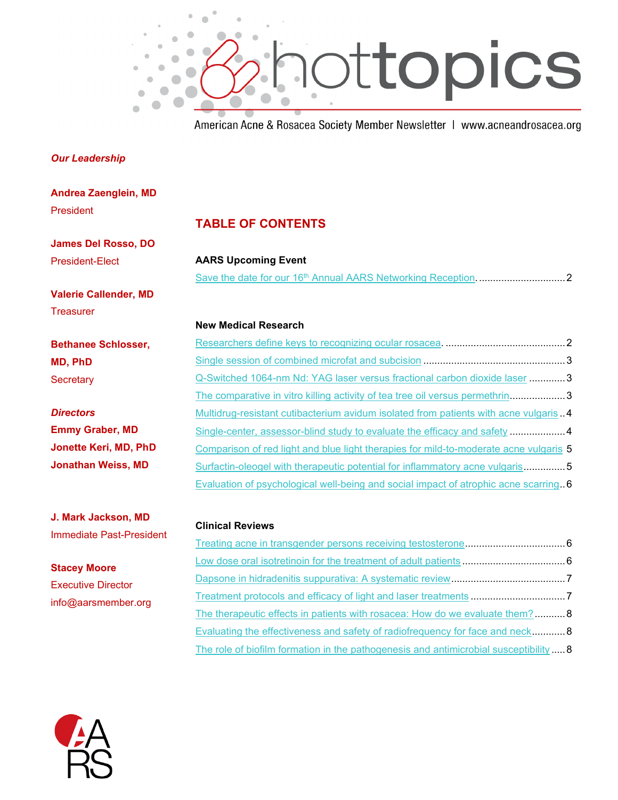

American Acne & Rosacea Society Member Newsletter | www.acneandrosacea.org

### *Our Leadership*

**Andrea Zaenglein, MD** President

**James Del Rosso, DO** President-Elect

**Valerie Callender, MD Treasurer** 

**Bethanee Schlosser, MD, PhD Secretary** 

*Directors* **Emmy Graber, MD Jonette Keri, MD, PhD Jonathan Weiss, MD**

**J. Mark Jackson, MD** Immediate Past-President

**Stacey Moore** Executive Director info@aarsmember.org

### **TABLE OF CONTENTS**

**AARS Upcoming Event** Save the date for our 16th [Annual AARS Networking Reception.](#page-1-0)...............................2

#### **New Medical Research**

| Q-Switched 1064-nm Nd: YAG laser versus fractional carbon dioxide laser 3              |  |
|----------------------------------------------------------------------------------------|--|
| The comparative in vitro killing activity of tea tree oil versus permethrin3           |  |
| Multidrug-resistant cutibacterium avidum isolated from patients with acne vulgaris . 4 |  |
| Single-center, assessor-blind study to evaluate the efficacy and safety 4              |  |
| Comparison of red light and blue light therapies for mild-to-moderate acne vulgaris 5  |  |
| Surfactin-oleogel with therapeutic potential for inflammatory acne vulgaris5           |  |
| Evaluation of psychological well-being and social impact of atrophic acne scarring6    |  |

#### **Clinical Reviews**

| The therapeutic effects in patients with rosacea: How do we evaluate them?8          |  |
|--------------------------------------------------------------------------------------|--|
| Evaluating the effectiveness and safety of radiofrequency for face and neck 8        |  |
| The role of biofilm formation in the pathogenesis and antimicrobial susceptibility 8 |  |

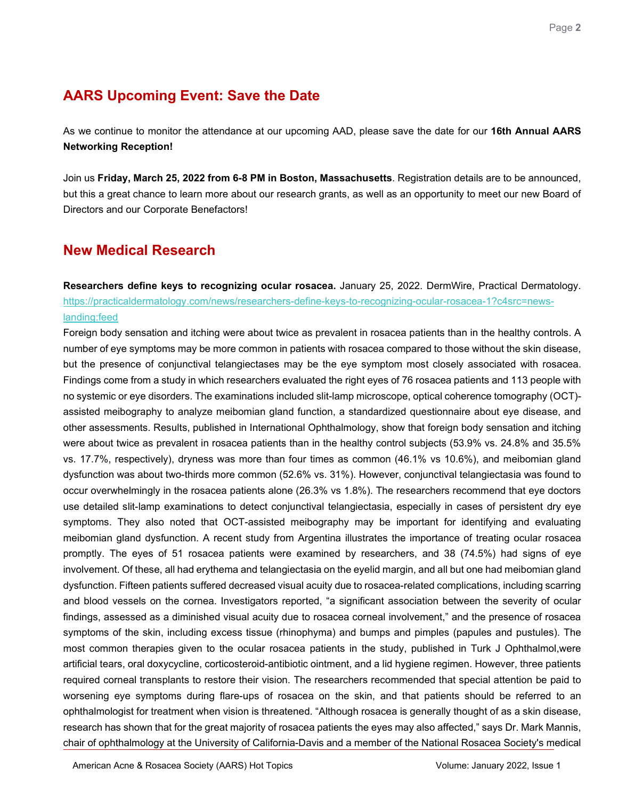# **AARS Upcoming Event: Save the Date**

<span id="page-1-0"></span>As we continue to monitor the attendance at our upcoming AAD, please save the date for our **16th Annual AARS Networking Reception!**

Join us **Friday, March 25, 2022 from 6-8 PM in Boston, Massachusetts**. Registration details are to be announced, but this a great chance to learn more about our research grants, as well as an opportunity to meet our new Board of Directors and our Corporate Benefactors!

## **New Medical Research**

<span id="page-1-1"></span>**Researchers define keys to recognizing ocular rosacea.** January 25, 2022. DermWire, Practical Dermatology. [https://practicaldermatology.com/news/researchers-define-keys-to-recognizing-ocular-rosacea-1?c4src=news](https://practicaldermatology.com/news/researchers-define-keys-to-recognizing-ocular-rosacea-1?c4src=news-landing:feed)[landing:feed](https://practicaldermatology.com/news/researchers-define-keys-to-recognizing-ocular-rosacea-1?c4src=news-landing:feed)

Foreign body sensation and itching were about twice as prevalent in rosacea patients than in the healthy controls. A number of eye symptoms may be more common in patients with rosacea compared to those without the skin disease, but the presence of conjunctival telangiectases may be the eye symptom most closely associated with rosacea. Findings come from a study in which researchers evaluated the right eyes of 76 rosacea patients and 113 people with no systemic or eye disorders. The examinations included slit-lamp microscope, optical coherence tomography (OCT) assisted meibography to analyze meibomian gland function, a standardized questionnaire about eye disease, and other assessments. Results, published in International Ophthalmology, show that foreign body sensation and itching were about twice as prevalent in rosacea patients than in the healthy control subjects (53.9% vs. 24.8% and 35.5% vs. 17.7%, respectively), dryness was more than four times as common (46.1% vs 10.6%), and meibomian gland dysfunction was about two-thirds more common (52.6% vs. 31%). However, conjunctival telangiectasia was found to occur overwhelmingly in the rosacea patients alone (26.3% vs 1.8%). The researchers recommend that eye doctors use detailed slit-lamp examinations to detect conjunctival telangiectasia, especially in cases of persistent dry eye symptoms. They also noted that OCT-assisted meibography may be important for identifying and evaluating meibomian gland dysfunction. A recent study from Argentina illustrates the importance of treating ocular rosacea promptly. The eyes of 51 rosacea patients were examined by researchers, and 38 (74.5%) had signs of eye involvement. Of these, all had erythema and telangiectasia on the eyelid margin, and all but one had meibomian gland dysfunction. Fifteen patients suffered decreased visual acuity due to rosacea-related complications, including scarring and blood vessels on the cornea. Investigators reported, "a significant association between the severity of ocular findings, assessed as a diminished visual acuity due to rosacea corneal involvement," and the presence of rosacea symptoms of the skin, including excess tissue (rhinophyma) and bumps and pimples (papules and pustules). The most common therapies given to the ocular rosacea patients in the study, published in Turk J Ophthalmol,were artificial tears, oral doxycycline, corticosteroid-antibiotic ointment, and a lid hygiene regimen. However, three patients required corneal transplants to restore their vision. The researchers recommended that special attention be paid to worsening eye symptoms during flare-ups of rosacea on the skin, and that patients should be referred to an ophthalmologist for treatment when vision is threatened. "Although rosacea is generally thought of as a skin disease, research has shown that for the great majority of rosacea patients the eyes may also affected," says Dr. Mark Mannis, chair of ophthalmology at the University of California-Davis and a member of the National Rosacea Society's medical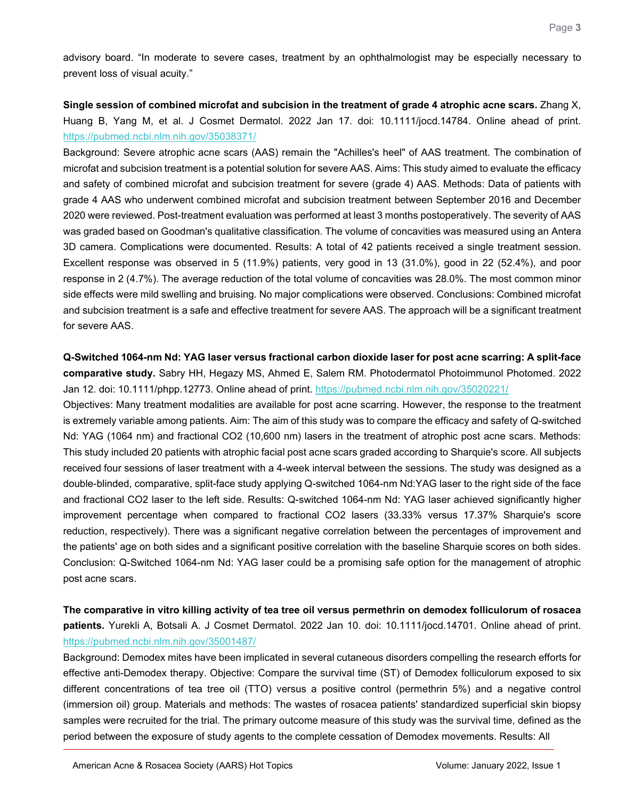advisory board. "In moderate to severe cases, treatment by an ophthalmologist may be especially necessary to prevent loss of visual acuity."

**Single session of combined microfat and subcision in the treatment of grade 4 atrophic acne scars.** Zhang X, Huang B, Yang M, et al. J Cosmet Dermatol. 2022 Jan 17. doi: 10.1111/jocd.14784. Online ahead of print. <https://pubmed.ncbi.nlm.nih.gov/35038371/>

Background: Severe atrophic acne scars (AAS) remain the "Achilles's heel" of AAS treatment. The combination of microfat and subcision treatment is a potential solution for severe AAS. Aims: This study aimed to evaluate the efficacy and safety of combined microfat and subcision treatment for severe (grade 4) AAS. Methods: Data of patients with grade 4 AAS who underwent combined microfat and subcision treatment between September 2016 and December 2020 were reviewed. Post-treatment evaluation was performed at least 3 months postoperatively. The severity of AAS was graded based on Goodman's qualitative classification. The volume of concavities was measured using an Antera 3D camera. Complications were documented. Results: A total of 42 patients received a single treatment session. Excellent response was observed in 5 (11.9%) patients, very good in 13 (31.0%), good in 22 (52.4%), and poor response in 2 (4.7%). The average reduction of the total volume of concavities was 28.0%. The most common minor side effects were mild swelling and bruising. No major complications were observed. Conclusions: Combined microfat and subcision treatment is a safe and effective treatment for severe AAS. The approach will be a significant treatment for severe AAS.

<span id="page-2-0"></span>**Q-Switched 1064-nm Nd: YAG laser versus fractional carbon dioxide laser for post acne scarring: A split-face comparative study.** Sabry HH, Hegazy MS, Ahmed E, Salem RM. Photodermatol Photoimmunol Photomed. 2022 Jan 12. doi: 10.1111/phpp.12773. Online ahead of print.<https://pubmed.ncbi.nlm.nih.gov/35020221/>

Objectives: Many treatment modalities are available for post acne scarring. However, the response to the treatment is extremely variable among patients. Aim: The aim of this study was to compare the efficacy and safety of Q-switched Nd: YAG (1064 nm) and fractional CO2 (10,600 nm) lasers in the treatment of atrophic post acne scars. Methods: This study included 20 patients with atrophic facial post acne scars graded according to Sharquie's score. All subjects received four sessions of laser treatment with a 4-week interval between the sessions. The study was designed as a double-blinded, comparative, split-face study applying Q-switched 1064-nm Nd:YAG laser to the right side of the face and fractional CO2 laser to the left side. Results: Q-switched 1064-nm Nd: YAG laser achieved significantly higher improvement percentage when compared to fractional CO2 lasers (33.33% versus 17.37% Sharquie's score reduction, respectively). There was a significant negative correlation between the percentages of improvement and the patients' age on both sides and a significant positive correlation with the baseline Sharquie scores on both sides. Conclusion: Q-Switched 1064-nm Nd: YAG laser could be a promising safe option for the management of atrophic post acne scars.

<span id="page-2-1"></span>**The comparative in vitro killing activity of tea tree oil versus permethrin on demodex folliculorum of rosacea patients.** Yurekli A, Botsali A. J Cosmet Dermatol. 2022 Jan 10. doi: 10.1111/jocd.14701. Online ahead of print. <https://pubmed.ncbi.nlm.nih.gov/35001487/>

Background: Demodex mites have been implicated in several cutaneous disorders compelling the research efforts for effective anti-Demodex therapy. Objective: Compare the survival time (ST) of Demodex folliculorum exposed to six different concentrations of tea tree oil (TTO) versus a positive control (permethrin 5%) and a negative control (immersion oil) group. Materials and methods: The wastes of rosacea patients' standardized superficial skin biopsy samples were recruited for the trial. The primary outcome measure of this study was the survival time, defined as the period between the exposure of study agents to the complete cessation of Demodex movements. Results: All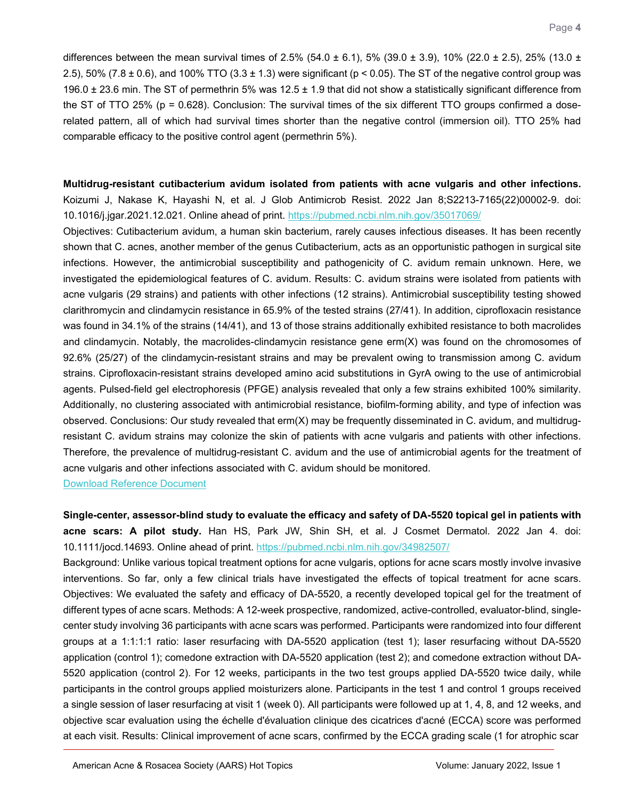differences between the mean survival times of 2.5% (54.0  $\pm$  6.1), 5% (39.0  $\pm$  3.9), 10% (22.0  $\pm$  2.5), 25% (13.0  $\pm$ 2.5), 50% (7.8  $\pm$  0.6), and 100% TTO (3.3  $\pm$  1.3) were significant (p < 0.05). The ST of the negative control group was 196.0  $\pm$  23.6 min. The ST of permethrin 5% was 12.5  $\pm$  1.9 that did not show a statistically significant difference from the ST of TTO 25% (p = 0.628). Conclusion: The survival times of the six different TTO groups confirmed a doserelated pattern, all of which had survival times shorter than the negative control (immersion oil). TTO 25% had comparable efficacy to the positive control agent (permethrin 5%).

<span id="page-3-0"></span>**Multidrug-resistant cutibacterium avidum isolated from patients with acne vulgaris and other infections.** Koizumi J, Nakase K, Hayashi N, et al. J Glob Antimicrob Resist. 2022 Jan 8;S2213-7165(22)00002-9. doi: 10.1016/j.jgar.2021.12.021. Online ahead of print.<https://pubmed.ncbi.nlm.nih.gov/35017069/>

Objectives: Cutibacterium avidum, a human skin bacterium, rarely causes infectious diseases. It has been recently shown that C. acnes, another member of the genus Cutibacterium, acts as an opportunistic pathogen in surgical site infections. However, the antimicrobial susceptibility and pathogenicity of C. avidum remain unknown. Here, we investigated the epidemiological features of C. avidum. Results: C. avidum strains were isolated from patients with acne vulgaris (29 strains) and patients with other infections (12 strains). Antimicrobial susceptibility testing showed clarithromycin and clindamycin resistance in 65.9% of the tested strains (27/41). In addition, ciprofloxacin resistance was found in 34.1% of the strains (14/41), and 13 of those strains additionally exhibited resistance to both macrolides and clindamycin. Notably, the macrolides-clindamycin resistance gene erm(X) was found on the chromosomes of 92.6% (25/27) of the clindamycin-resistant strains and may be prevalent owing to transmission among C. avidum strains. Ciprofloxacin-resistant strains developed amino acid substitutions in GyrA owing to the use of antimicrobial agents. Pulsed-field gel electrophoresis (PFGE) analysis revealed that only a few strains exhibited 100% similarity. Additionally, no clustering associated with antimicrobial resistance, biofilm-forming ability, and type of infection was observed. Conclusions: Our study revealed that erm(X) may be frequently disseminated in C. avidum, and multidrugresistant C. avidum strains may colonize the skin of patients with acne vulgaris and patients with other infections. Therefore, the prevalence of multidrug-resistant C. avidum and the use of antimicrobial agents for the treatment of acne vulgaris and other infections associated with C. avidum should be monitored.

[Download Reference Document](https://files.constantcontact.com/c2fa20d1101/65a45d49-708f-4483-abf4-a0a145bda6c0.pdf)

<span id="page-3-1"></span>**Single-center, assessor-blind study to evaluate the efficacy and safety of DA-5520 topical gel in patients with acne scars: A pilot study.** Han HS, Park JW, Shin SH, et al. J Cosmet Dermatol. 2022 Jan 4. doi: 10.1111/jocd.14693. Online ahead of print.<https://pubmed.ncbi.nlm.nih.gov/34982507/>

Background: Unlike various topical treatment options for acne vulgaris, options for acne scars mostly involve invasive interventions. So far, only a few clinical trials have investigated the effects of topical treatment for acne scars. Objectives: We evaluated the safety and efficacy of DA-5520, a recently developed topical gel for the treatment of different types of acne scars. Methods: A 12-week prospective, randomized, active-controlled, evaluator-blind, singlecenter study involving 36 participants with acne scars was performed. Participants were randomized into four different groups at a 1:1:1:1 ratio: laser resurfacing with DA-5520 application (test 1); laser resurfacing without DA-5520 application (control 1); comedone extraction with DA-5520 application (test 2); and comedone extraction without DA-5520 application (control 2). For 12 weeks, participants in the two test groups applied DA-5520 twice daily, while participants in the control groups applied moisturizers alone. Participants in the test 1 and control 1 groups received a single session of laser resurfacing at visit 1 (week 0). All participants were followed up at 1, 4, 8, and 12 weeks, and objective scar evaluation using the échelle d'évaluation clinique des cicatrices d'acné (ECCA) score was performed at each visit. Results: Clinical improvement of acne scars, confirmed by the ECCA grading scale (1 for atrophic scar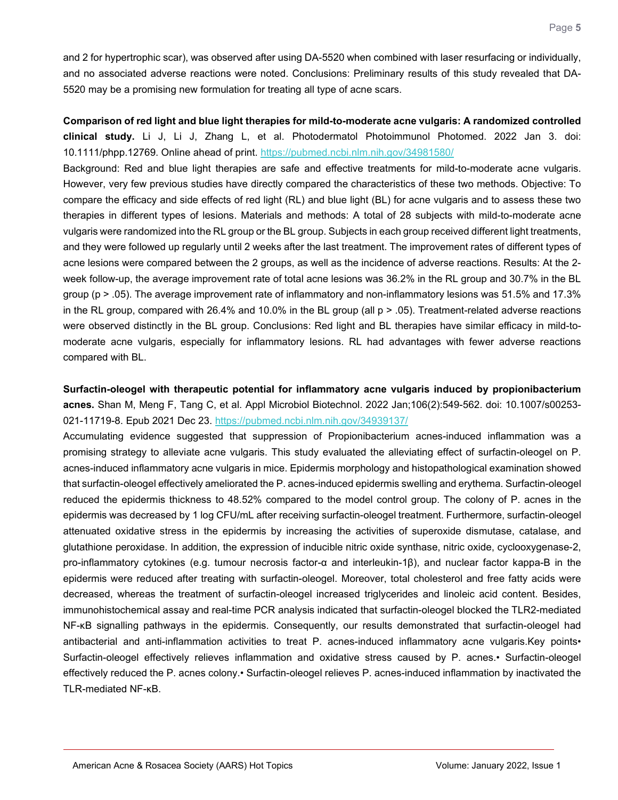and 2 for hypertrophic scar), was observed after using DA-5520 when combined with laser resurfacing or individually, and no associated adverse reactions were noted. Conclusions: Preliminary results of this study revealed that DA-5520 may be a promising new formulation for treating all type of acne scars.

<span id="page-4-0"></span>**Comparison of red light and blue light therapies for mild-to-moderate acne vulgaris: A randomized controlled clinical study.** Li J, Li J, Zhang L, et al. Photodermatol Photoimmunol Photomed. 2022 Jan 3. doi: 10.1111/phpp.12769. Online ahead of print.<https://pubmed.ncbi.nlm.nih.gov/34981580/>

Background: Red and blue light therapies are safe and effective treatments for mild-to-moderate acne vulgaris. However, very few previous studies have directly compared the characteristics of these two methods. Objective: To compare the efficacy and side effects of red light (RL) and blue light (BL) for acne vulgaris and to assess these two therapies in different types of lesions. Materials and methods: A total of 28 subjects with mild-to-moderate acne vulgaris were randomized into the RL group or the BL group. Subjects in each group received different light treatments, and they were followed up regularly until 2 weeks after the last treatment. The improvement rates of different types of acne lesions were compared between the 2 groups, as well as the incidence of adverse reactions. Results: At the 2 week follow-up, the average improvement rate of total acne lesions was 36.2% in the RL group and 30.7% in the BL group (p > .05). The average improvement rate of inflammatory and non-inflammatory lesions was 51.5% and 17.3% in the RL group, compared with 26.4% and 10.0% in the BL group (all p > .05). Treatment-related adverse reactions were observed distinctly in the BL group. Conclusions: Red light and BL therapies have similar efficacy in mild-tomoderate acne vulgaris, especially for inflammatory lesions. RL had advantages with fewer adverse reactions compared with BL.

<span id="page-4-1"></span>**Surfactin-oleogel with therapeutic potential for inflammatory acne vulgaris induced by propionibacterium acnes.** Shan M, Meng F, Tang C, et al. Appl Microbiol Biotechnol. 2022 Jan;106(2):549-562. doi: 10.1007/s00253- 021-11719-8. Epub 2021 Dec 23.<https://pubmed.ncbi.nlm.nih.gov/34939137/>

<span id="page-4-2"></span>Accumulating evidence suggested that suppression of Propionibacterium acnes-induced inflammation was a promising strategy to alleviate acne vulgaris. This study evaluated the alleviating effect of surfactin-oleogel on P. acnes-induced inflammatory acne vulgaris in mice. Epidermis morphology and histopathological examination showed that surfactin-oleogel effectively ameliorated the P. acnes-induced epidermis swelling and erythema. Surfactin-oleogel reduced the epidermis thickness to 48.52% compared to the model control group. The colony of P. acnes in the epidermis was decreased by 1 log CFU/mL after receiving surfactin-oleogel treatment. Furthermore, surfactin-oleogel attenuated oxidative stress in the epidermis by increasing the activities of superoxide dismutase, catalase, and glutathione peroxidase. In addition, the expression of inducible nitric oxide synthase, nitric oxide, cyclooxygenase-2, pro-inflammatory cytokines (e.g. tumour necrosis factor-α and interleukin-1β), and nuclear factor kappa-B in the epidermis were reduced after treating with surfactin-oleogel. Moreover, total cholesterol and free fatty acids were decreased, whereas the treatment of surfactin-oleogel increased triglycerides and linoleic acid content. Besides, immunohistochemical assay and real-time PCR analysis indicated that surfactin-oleogel blocked the TLR2-mediated NF-κB signalling pathways in the epidermis. Consequently, our results demonstrated that surfactin-oleogel had antibacterial and anti-inflammation activities to treat P. acnes-induced inflammatory acne vulgaris.Key points• Surfactin-oleogel effectively relieves inflammation and oxidative stress caused by P. acnes.• Surfactin-oleogel effectively reduced the P. acnes colony.• Surfactin-oleogel relieves P. acnes-induced inflammation by inactivated the TLR-mediated NF-κB.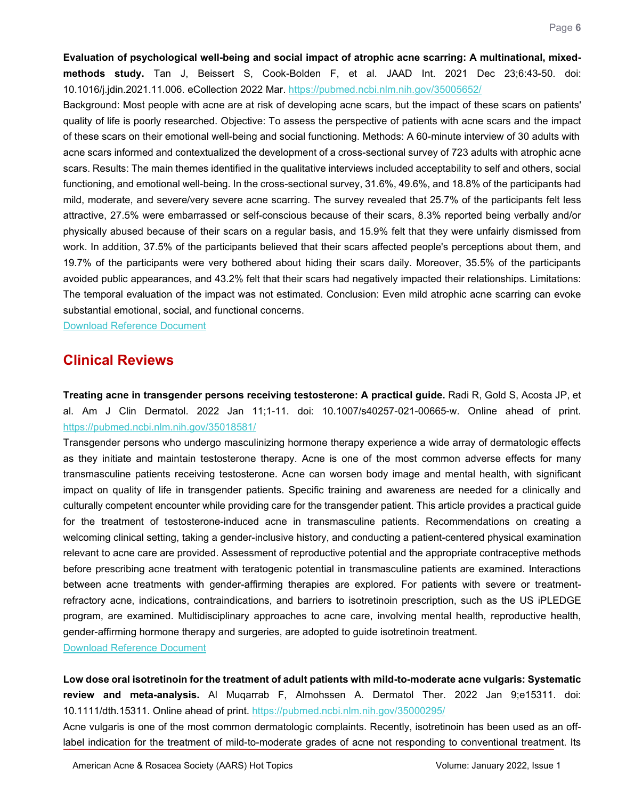**Evaluation of psychological well-being and social impact of atrophic acne scarring: A multinational, mixedmethods study.** Tan J, Beissert S, Cook-Bolden F, et al. JAAD Int. 2021 Dec 23;6:43-50. doi: 10.1016/j.jdin.2021.11.006. eCollection 2022 Mar.<https://pubmed.ncbi.nlm.nih.gov/35005652/>

Background: Most people with acne are at risk of developing acne scars, but the impact of these scars on patients' quality of life is poorly researched. Objective: To assess the perspective of patients with acne scars and the impact of these scars on their emotional well-being and social functioning. Methods: A 60-minute interview of 30 adults with acne scars informed and contextualized the development of a cross-sectional survey of 723 adults with atrophic acne scars. Results: The main themes identified in the qualitative interviews included acceptability to self and others, social functioning, and emotional well-being. In the cross-sectional survey, 31.6%, 49.6%, and 18.8% of the participants had mild, moderate, and severe/very severe acne scarring. The survey revealed that 25.7% of the participants felt less attractive, 27.5% were embarrassed or self-conscious because of their scars, 8.3% reported being verbally and/or physically abused because of their scars on a regular basis, and 15.9% felt that they were unfairly dismissed from work. In addition, 37.5% of the participants believed that their scars affected people's perceptions about them, and 19.7% of the participants were very bothered about hiding their scars daily. Moreover, 35.5% of the participants avoided public appearances, and 43.2% felt that their scars had negatively impacted their relationships. Limitations: The temporal evaluation of the impact was not estimated. Conclusion: Even mild atrophic acne scarring can evoke substantial emotional, social, and functional concerns.

[Download Reference Document](https://files.constantcontact.com/c2fa20d1101/258e6947-ab52-44e0-a37c-f4adb14a6101.pdf)

## **Clinical Reviews**

<span id="page-5-0"></span>**Treating acne in transgender persons receiving testosterone: A practical guide.** Radi R, Gold S, Acosta JP, et al. Am J Clin Dermatol. 2022 Jan 11;1-11. doi: 10.1007/s40257-021-00665-w. Online ahead of print. <https://pubmed.ncbi.nlm.nih.gov/35018581/>

Transgender persons who undergo masculinizing hormone therapy experience a wide array of dermatologic effects as they initiate and maintain testosterone therapy. Acne is one of the most common adverse effects for many transmasculine patients receiving testosterone. Acne can worsen body image and mental health, with significant impact on quality of life in transgender patients. Specific training and awareness are needed for a clinically and culturally competent encounter while providing care for the transgender patient. This article provides a practical guide for the treatment of testosterone-induced acne in transmasculine patients. Recommendations on creating a welcoming clinical setting, taking a gender-inclusive history, and conducting a patient-centered physical examination relevant to acne care are provided. Assessment of reproductive potential and the appropriate contraceptive methods before prescribing acne treatment with teratogenic potential in transmasculine patients are examined. Interactions between acne treatments with gender-affirming therapies are explored. For patients with severe or treatmentrefractory acne, indications, contraindications, and barriers to isotretinoin prescription, such as the US iPLEDGE program, are examined. Multidisciplinary approaches to acne care, involving mental health, reproductive health, gender-affirming hormone therapy and surgeries, are adopted to guide isotretinoin treatment.

[Download Reference Document](https://files.constantcontact.com/c2fa20d1101/3b9ec6bb-cb98-46f2-be98-279a1da5eb8c.pdf)

<span id="page-5-1"></span>**Low dose oral isotretinoin for the treatment of adult patients with mild-to-moderate acne vulgaris: Systematic review and meta-analysis.** Al Muqarrab F, Almohssen A. Dermatol Ther. 2022 Jan 9;e15311. doi: 10.1111/dth.15311. Online ahead of print.<https://pubmed.ncbi.nlm.nih.gov/35000295/>

Acne vulgaris is one of the most common dermatologic complaints. Recently, isotretinoin has been used as an offlabel indication for the treatment of mild-to-moderate grades of acne not responding to conventional treatment. Its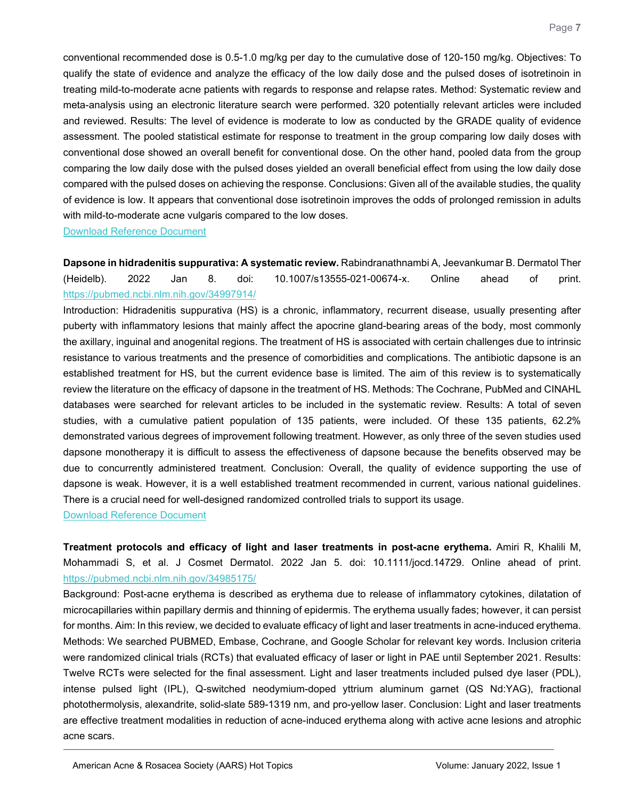conventional recommended dose is 0.5-1.0 mg/kg per day to the cumulative dose of 120-150 mg/kg. Objectives: To qualify the state of evidence and analyze the efficacy of the low daily dose and the pulsed doses of isotretinoin in treating mild-to-moderate acne patients with regards to response and relapse rates. Method: Systematic review and meta-analysis using an electronic literature search were performed. 320 potentially relevant articles were included and reviewed. Results: The level of evidence is moderate to low as conducted by the GRADE quality of evidence assessment. The pooled statistical estimate for response to treatment in the group comparing low daily doses with conventional dose showed an overall benefit for conventional dose. On the other hand, pooled data from the group comparing the low daily dose with the pulsed doses yielded an overall beneficial effect from using the low daily dose compared with the pulsed doses on achieving the response. Conclusions: Given all of the available studies, the quality of evidence is low. It appears that conventional dose isotretinoin improves the odds of prolonged remission in adults with mild-to-moderate acne vulgaris compared to the low doses.

[Download Reference Document](https://files.constantcontact.com/c2fa20d1101/c9f297cf-437c-496e-8189-e36fdb06d7ea.pdf)

<span id="page-6-0"></span>**Dapsone in hidradenitis suppurativa: A systematic review.** Rabindranathnambi A, Jeevankumar B. Dermatol Ther (Heidelb). 2022 Jan 8. doi: 10.1007/s13555-021-00674-x. Online ahead of print. <https://pubmed.ncbi.nlm.nih.gov/34997914/>

Introduction: Hidradenitis suppurativa (HS) is a chronic, inflammatory, recurrent disease, usually presenting after puberty with inflammatory lesions that mainly affect the apocrine gland-bearing areas of the body, most commonly the axillary, inguinal and anogenital regions. The treatment of HS is associated with certain challenges due to intrinsic resistance to various treatments and the presence of comorbidities and complications. The antibiotic dapsone is an established treatment for HS, but the current evidence base is limited. The aim of this review is to systematically review the literature on the efficacy of dapsone in the treatment of HS. Methods: The Cochrane, PubMed and CINAHL databases were searched for relevant articles to be included in the systematic review. Results: A total of seven studies, with a cumulative patient population of 135 patients, were included. Of these 135 patients, 62.2% demonstrated various degrees of improvement following treatment. However, as only three of the seven studies used dapsone monotherapy it is difficult to assess the effectiveness of dapsone because the benefits observed may be due to concurrently administered treatment. Conclusion: Overall, the quality of evidence supporting the use of dapsone is weak. However, it is a well established treatment recommended in current, various national guidelines. There is a crucial need for well-designed randomized controlled trials to support its usage.

[Download Reference Document](https://files.constantcontact.com/c2fa20d1101/f44fb93a-9146-4421-8056-4c46c24e8f52.pdf)

<span id="page-6-1"></span>**Treatment protocols and efficacy of light and laser treatments in post-acne erythema.** Amiri R, Khalili M, Mohammadi S, et al. J Cosmet Dermatol. 2022 Jan 5. doi: 10.1111/jocd.14729. Online ahead of print. <https://pubmed.ncbi.nlm.nih.gov/34985175/>

Background: Post-acne erythema is described as erythema due to release of inflammatory cytokines, dilatation of microcapillaries within papillary dermis and thinning of epidermis. The erythema usually fades; however, it can persist for months. Aim: In this review, we decided to evaluate efficacy of light and laser treatments in acne-induced erythema. Methods: We searched PUBMED, Embase, Cochrane, and Google Scholar for relevant key words. Inclusion criteria were randomized clinical trials (RCTs) that evaluated efficacy of laser or light in PAE until September 2021. Results: Twelve RCTs were selected for the final assessment. Light and laser treatments included pulsed dye laser (PDL), intense pulsed light (IPL), Q-switched neodymium-doped yttrium aluminum garnet (QS Nd:YAG), fractional photothermolysis, alexandrite, solid-slate 589-1319 nm, and pro-yellow laser. Conclusion: Light and laser treatments are effective treatment modalities in reduction of acne-induced erythema along with active acne lesions and atrophic acne scars.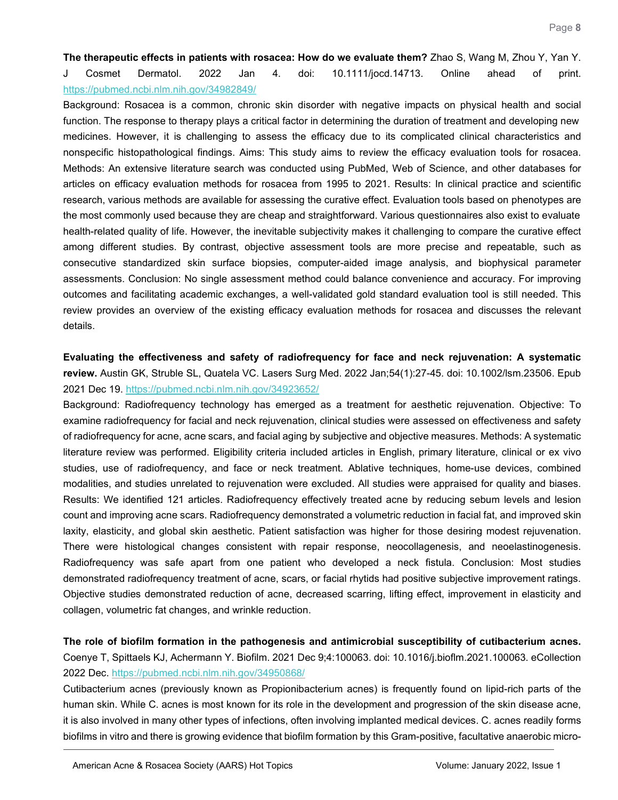<span id="page-7-0"></span>**The therapeutic effects in patients with rosacea: How do we evaluate them?** Zhao S, Wang M, Zhou Y, Yan Y. J Cosmet Dermatol. 2022 Jan 4. doi: 10.1111/jocd.14713. Online ahead of print. <https://pubmed.ncbi.nlm.nih.gov/34982849/>

Background: Rosacea is a common, chronic skin disorder with negative impacts on physical health and social function. The response to therapy plays a critical factor in determining the duration of treatment and developing new medicines. However, it is challenging to assess the efficacy due to its complicated clinical characteristics and nonspecific histopathological findings. Aims: This study aims to review the efficacy evaluation tools for rosacea. Methods: An extensive literature search was conducted using PubMed, Web of Science, and other databases for articles on efficacy evaluation methods for rosacea from 1995 to 2021. Results: In clinical practice and scientific research, various methods are available for assessing the curative effect. Evaluation tools based on phenotypes are the most commonly used because they are cheap and straightforward. Various questionnaires also exist to evaluate health-related quality of life. However, the inevitable subjectivity makes it challenging to compare the curative effect among different studies. By contrast, objective assessment tools are more precise and repeatable, such as consecutive standardized skin surface biopsies, computer-aided image analysis, and biophysical parameter assessments. Conclusion: No single assessment method could balance convenience and accuracy. For improving outcomes and facilitating academic exchanges, a well-validated gold standard evaluation tool is still needed. This review provides an overview of the existing efficacy evaluation methods for rosacea and discusses the relevant details.

<span id="page-7-1"></span>**Evaluating the effectiveness and safety of radiofrequency for face and neck rejuvenation: A systematic review.** Austin GK, Struble SL, Quatela VC. Lasers Surg Med. 2022 Jan;54(1):27-45. doi: 10.1002/lsm.23506. Epub 2021 Dec 19.<https://pubmed.ncbi.nlm.nih.gov/34923652/>

Background: Radiofrequency technology has emerged as a treatment for aesthetic rejuvenation. Objective: To examine radiofrequency for facial and neck rejuvenation, clinical studies were assessed on effectiveness and safety of radiofrequency for acne, acne scars, and facial aging by subjective and objective measures. Methods: A systematic literature review was performed. Eligibility criteria included articles in English, primary literature, clinical or ex vivo studies, use of radiofrequency, and face or neck treatment. Ablative techniques, home-use devices, combined modalities, and studies unrelated to rejuvenation were excluded. All studies were appraised for quality and biases. Results: We identified 121 articles. Radiofrequency effectively treated acne by reducing sebum levels and lesion count and improving acne scars. Radiofrequency demonstrated a volumetric reduction in facial fat, and improved skin laxity, elasticity, and global skin aesthetic. Patient satisfaction was higher for those desiring modest rejuvenation. There were histological changes consistent with repair response, neocollagenesis, and neoelastinogenesis. Radiofrequency was safe apart from one patient who developed a neck fistula. Conclusion: Most studies demonstrated radiofrequency treatment of acne, scars, or facial rhytids had positive subjective improvement ratings. Objective studies demonstrated reduction of acne, decreased scarring, lifting effect, improvement in elasticity and collagen, volumetric fat changes, and wrinkle reduction.

<span id="page-7-2"></span>**The role of biofilm formation in the pathogenesis and antimicrobial susceptibility of cutibacterium acnes.** Coenye T, Spittaels KJ, Achermann Y. Biofilm. 2021 Dec 9;4:100063. doi: 10.1016/j.bioflm.2021.100063. eCollection 2022 Dec.<https://pubmed.ncbi.nlm.nih.gov/34950868/>

Cutibacterium acnes (previously known as Propionibacterium acnes) is frequently found on lipid-rich parts of the human skin. While C. acnes is most known for its role in the development and progression of the skin disease acne, it is also involved in many other types of infections, often involving implanted medical devices. C. acnes readily forms biofilms in vitro and there is growing evidence that biofilm formation by this Gram-positive, facultative anaerobic micro